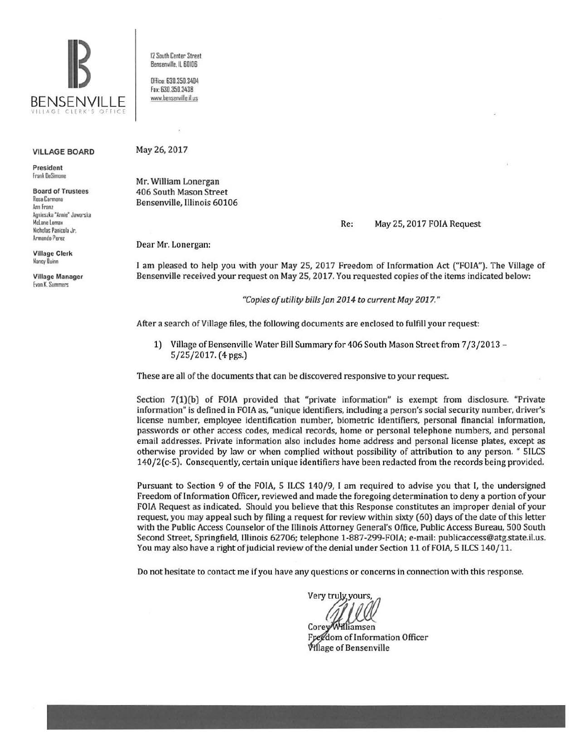

VILLAGE BOARD

President frank DeS.mone

Board of Trustees Rosa Carmona Ann Franz Agnieszka "Annie" Jawnrska McLane Lomax Nicholas Panicola Jr. Armando Perez

Village Clerk Nancy Ouinn

Village Manager Evan K. Summers

12 South Center Street Bensenwifte. ll 60!06

Dffice: 630.350.3404 Fax: 630.350.3438 www.bensenville.il.us

May 26, 2017

Mr. William Lonergan 406 South Mason Street Bensenville, Illinois 60106

Re: May 25, 2017 FOIA Request

Dear Mr. Lonergan:

I am pleased to help you with your May 25, 2017 Freedom of Information Act ("FOIA"). The Village of Bensenville received your request on May 25, 2017. You requested copies of the items indicated below:

*"Copies of utility bills fan 2014 to current May 2017."* 

After a search of Village files, the following documents are enclosed to fulfill your request:

1) Village of Bensenville Water Bill Summary for 406 South Mason Street from 7/3/2013 -5/25/2017. (4 pgs.)

These are all of the documents that can be discovered responsive to your request

Section 7(1)(b) of FOIA provided that "private information" is exempt from disclosure. "Private information" is defined in FOIA as, "unique identifiers, including a person's social security number, driver's license number, employee identification number, biometric identifiers, personal financial information, passwords or other access codes, medical records, home or personal telephone numbers, and personal email addresses. Private information also includes home address and personal license plates, except as otherwise provided by law or when complied without possibility of attribution to any person. " 51LCS 140/2(c-5). Consequently, certain unique identifiers have been redacted from the records being provided.

Pursuant to Section 9 of the FOIA, 5 ILCS 140/9, I am required to advise you that I, the undersigned Freedom of Information Officer, reviewed and made the foregoing determination to deny a portion of your FOIA Request as indicated. Should you believe that this Response constitutes an improper denial of your request, you may appeal such by filing a request for review within sixty (60) days of the date of this letter with the Public Access Counselor of the Illinois Attorney General's Office, Public Access Bureau, 500 South Second Street, Springfield, Illinois 62706; telephone 1-887-299-FOIA; e-mail: publicaccess@atg.state.il.us. You may also have a right of judicial review of the denial under Section 11 of FOIA, 5 ILCS 140/11.

Do not hesitate to contact me if you have any questions or concerns in connection with this response.

Very truly yours

Corey Williamsen Freedom of Information Officer Village of Bensenville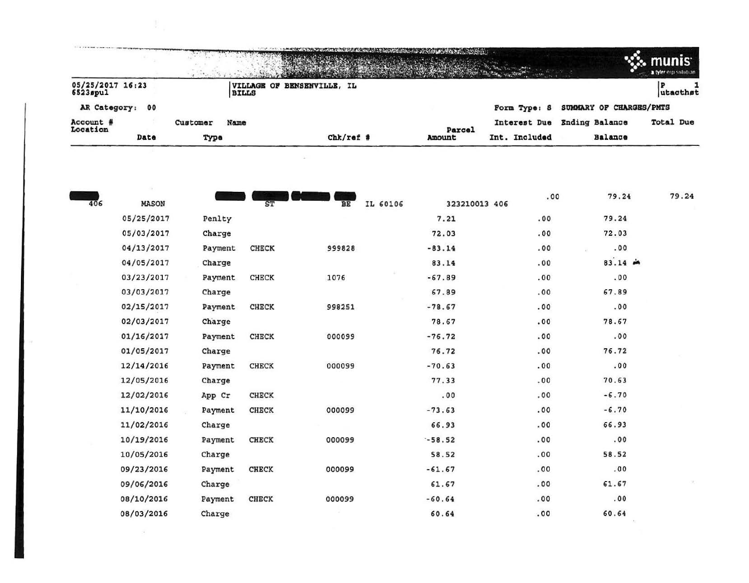|                              |      |          |              | The contract of the contract of the contract of the contract of the contract of the contract of the contract of |        |               |                         | munis<br>a tyler erp solution |
|------------------------------|------|----------|--------------|-----------------------------------------------------------------------------------------------------------------|--------|---------------|-------------------------|-------------------------------|
| 05/25/2017 16:23<br>6523spul |      |          | <b>BILLS</b> | VILLAGE OF BENSENVILLE, IL                                                                                      |        |               |                         | lutacthst                     |
| AR Category: 00              |      |          |              |                                                                                                                 |        | Form Type: S  | SUMMARY OF CHARGES/PMTS |                               |
| Account #<br>Location        |      | Customer | Name         |                                                                                                                 | Parcel | Interest Due  | <b>Ending Balance</b>   | Total Due                     |
|                              | Date | Type     |              | $Chk$ /ref #                                                                                                    | Amount | Int. Included | Balance                 |                               |

 $\sim$   $-$ 

 $\sim 10^{-11}$ 

| 406 | $\rightarrow$<br><b>MASON</b> |         | ST           | IL 60106<br>BE | 323210013 406 | .00  | 79.24     | 79.24 |
|-----|-------------------------------|---------|--------------|----------------|---------------|------|-----------|-------|
|     | 05/25/2017                    | Penlty  |              |                | 7.21          | .00  | 79.24     |       |
|     | 05/03/2017                    | Charge  |              |                | 72.03         | .00  | 72.03     |       |
|     | 04/13/2017                    | Payment | <b>CHECK</b> | 999828         | $-83.14$      | .00  | .00       |       |
|     | 04/05/2017                    | Charge  |              |                | 83.14         | .00  | $83.14 -$ |       |
|     | 03/23/2017                    | Payment | <b>CHECK</b> | 1076           | $-67.89$      | .00  | .00       |       |
|     | 03/03/2017                    | Charge  |              |                | 67.89         | .00  | 67.89     |       |
|     | 02/15/2017                    | Payment | <b>CHECK</b> | 998251         | $-78.67$      | .00  | .00       |       |
|     | 02/03/2017                    | Charge  |              |                | 78.67         | .00  | 78.67     |       |
|     | 01/16/2017                    | Payment | <b>CHECK</b> | 000099         | $-76.72$      | .00  | .00       |       |
|     | 01/05/2017                    | Charge  |              |                | 76.72         | .00  | 76.72     |       |
|     | 12/14/2016                    | Payment | <b>CHECK</b> | 000099         | $-70.63$      | .00. | .00       |       |
|     | 12/05/2016                    | Charge  |              |                | 77.33         | .00  | 70.63     |       |
|     | 12/02/2016                    | App Cr  | <b>CHECK</b> |                | .00           | .00  | $-6.70$   |       |
|     | 11/10/2016                    | Payment | CHECK        | 000099         | $-73.63$      | .00  | $-6.70$   |       |
|     | 11/02/2016                    | Charge  |              |                | 66.93         | .00  | 66.93     |       |
|     | 10/19/2016                    | Payment | <b>CHECK</b> | 000099         | $-58.52$      | .00  | .00       |       |
|     | 10/05/2016                    | Charge  |              |                | 58.52         | .00  | 58.52     |       |
|     | 09/23/2016                    | Payment | <b>CHECK</b> | 000099         | $-61.67$      | .00  | .00       |       |
|     | 09/06/2016                    | Charge  |              |                | 61.67         | .00. | 61.67     |       |
|     | 08/10/2016                    | Payment | <b>CHECK</b> | 000099         | $-60.64$      | .00  | .00       |       |
|     | 08/03/2016                    | Charge  |              |                | 60.64         | .00  | 60.64     |       |
|     |                               |         |              |                |               |      |           |       |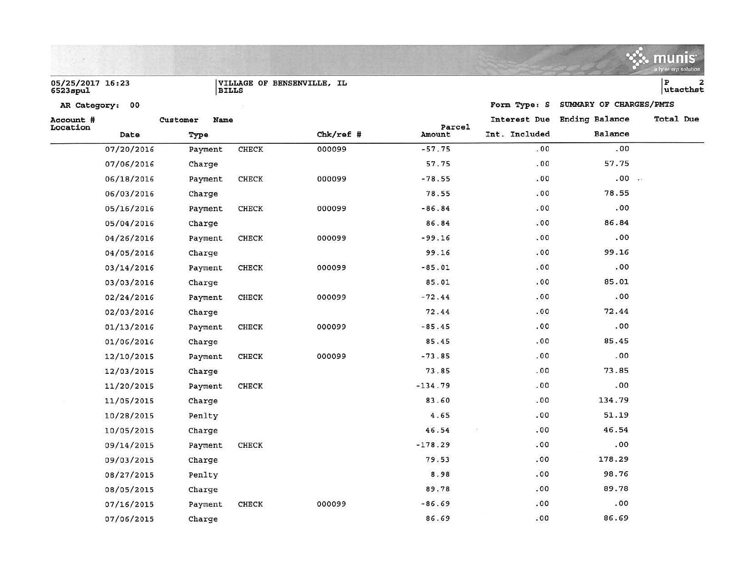|                              |                  |              |                            |                  |               |                         | munis<br>a tyler erp solution            |
|------------------------------|------------------|--------------|----------------------------|------------------|---------------|-------------------------|------------------------------------------|
| 05/25/2017 16:23<br>6523spul | <b>BILLS</b>     |              | VILLAGE OF BENSENVILLE, IL |                  |               |                         | P<br>$\overline{\mathbf{z}}$<br>utacthst |
| AR Category: 00              |                  |              |                            |                  | Form Type: S  | SUMMARY OF CHARGES/PMTS |                                          |
| Account #                    | Name<br>Customer |              |                            |                  | Interest Due  | <b>Ending Balance</b>   | Total Due                                |
| Location<br>Date             | Type             |              | $Chk/ref$ #                | Parcel<br>Amount | Int. Included | Balance                 |                                          |
| 07/20/2016                   | Payment          | CHECK        | 000099                     | $-57.75$         | .00           | .00                     |                                          |
| 07/06/2016                   | Charge           |              |                            | 57.75            | .00           | 57.75                   |                                          |
| 06/18/2016                   | Payment          | <b>CHECK</b> | 000099                     | $-78.55$         | .00           | .00                     |                                          |
| 06/03/2016                   | Charge           |              |                            | 78.55            | .00           | 78.55                   |                                          |
| 05/16/2016                   | Payment          | <b>CHECK</b> | 000099                     | $-86.84$         | .00           | .00                     |                                          |
| 05/04/2016                   | Charge           |              |                            | 86.84            | .00           | 86.84                   |                                          |
| 04/26/2016                   | Payment          | <b>CHECK</b> | 000099                     | $-99.16$         | .00           | .00                     |                                          |
| 04/05/2016                   | Charge           |              |                            | 99.16            | .00           | 99.16                   |                                          |
| 03/14/2016                   | Payment          | <b>CHECK</b> | 000099                     | $-85.01$         | .00           | .00                     |                                          |
| 03/03/2016                   | Charge           |              |                            | 85.01            | .00           | 85.01                   |                                          |
| 02/24/2016                   | Payment          | <b>CHECK</b> | 000099                     | $-72.44$         | .00           | .00                     |                                          |
| 02/03/2016                   | Charge           |              |                            | 72.44            | .00           | 72.44                   |                                          |
| 01/13/2016                   | Payment          | CHECK        | 000099                     | $-85.45$         | .00           | .00                     |                                          |
| 01/06/2016                   | Charge           |              |                            | 85.45            | .00           | 85.45                   |                                          |
| 12/10/2015                   | Payment          | <b>CHECK</b> | 000099                     | $-73.85$         | .00           | .00                     |                                          |
| 12/03/2015                   | Charge           |              |                            | 73.85            | .00           | 73.85                   |                                          |
| 11/20/2015                   | Payment          | <b>CHECK</b> |                            | $-134.79$        | .00           | .00                     |                                          |
| 11/05/2015                   | Charge           |              |                            | 83.60            | .00           | 134.79                  |                                          |
| 10/28/2015                   | Penlty           |              |                            | 4.65             | .00           | 51.19                   |                                          |
| 10/05/2015                   | Charge           |              |                            | 46.54            | .00           | 46.54                   |                                          |
| 09/14/2015                   | Payment          | <b>CHECK</b> |                            | $-178.29$        | .00           | .00                     |                                          |
| 09/03/2015                   | Charge           |              |                            | 79.53            | .00           | 178.29                  |                                          |
| 08/27/2015                   | Penlty           |              |                            | 8.98             | .00           | 98.76                   |                                          |
| 08/05/2015                   | Charge           |              |                            | 89.78            | .00           | 89.78                   |                                          |
| 07/16/2015                   | Payment          | <b>CHECK</b> | 000099                     | $-86.69$         | .00           | .00                     |                                          |
| 07/06/2015                   | Charge           |              |                            | 86.69            | .00.          | 86.69                   |                                          |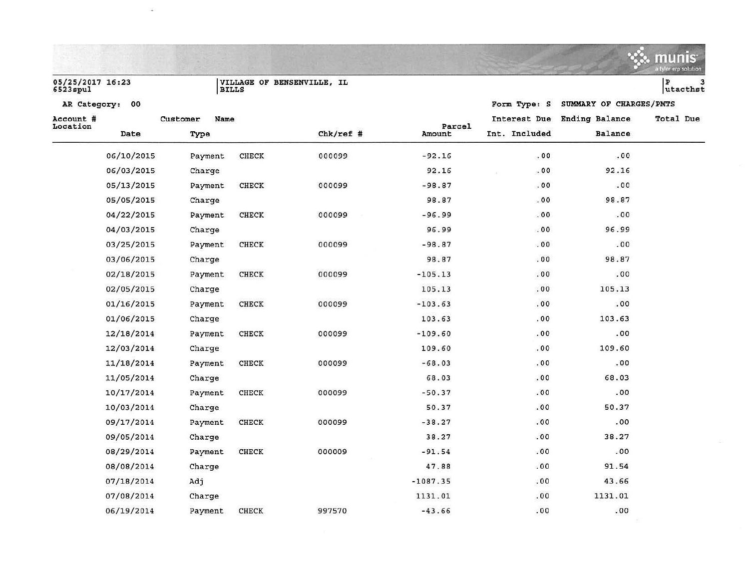|                              |            |          |              |                            |            |               |                         | <b>munis</b><br>a tyler erp solution |
|------------------------------|------------|----------|--------------|----------------------------|------------|---------------|-------------------------|--------------------------------------|
| 05/25/2017 16:23<br>6523spul |            |          | <b>BILLS</b> | VILLAGE OF BENSENVILLE, IL |            |               |                         | 3<br>P<br>utacthst                   |
| AR Category: 00              |            |          |              |                            |            | Form Type: S  | SUMMARY OF CHARGES/PMTS |                                      |
| Account #                    |            | Customer | Name         |                            | Parcel     | Interest Due  | Ending Balance          | Total Due                            |
| Location                     | Date       | Type     |              | $Chk/ref$ #                | Amount     | Int. Included | Balance                 |                                      |
|                              | 06/10/2015 | Payment  | <b>CHECK</b> | 000099                     | $-92.16$   | .00           | .00                     |                                      |
|                              | 06/03/2015 | Charge   |              |                            | 92.16      | .00           | 92.16                   |                                      |
|                              | 05/13/2015 | Payment  | <b>CHECK</b> | 000099                     | $-98.87$   | .00           | .00                     |                                      |
|                              | 05/05/2015 | Charge   |              |                            | 98.87      | .00           | 98.87                   |                                      |
|                              | 04/22/2015 | Payment  | <b>CHECK</b> | 000099                     | $-96.99$   | .00           | .00                     |                                      |
|                              | 04/03/2015 | Charge   |              |                            | 96.99      | .00           | 96.99                   |                                      |
|                              | 03/25/2015 | Payment  | CHECK        | 000099                     | $-98.87$   | .00           | .00.                    |                                      |
|                              | 03/06/2015 | Charge   |              |                            | 98.87      | .00           | 98.87                   |                                      |
|                              | 02/18/2015 | Payment  | CHECK        | 000099                     | $-105.13$  | .00           | .00                     |                                      |
|                              | 02/05/2015 | Charge   |              |                            | 105.13     | .00           | 105.13                  |                                      |
|                              | 01/16/2015 | Payment  | CHECK        | 000099                     | $-103.63$  | .00           | .00                     |                                      |
|                              | 01/06/2015 | Charge   |              |                            | 103.63     | .00           | 103.63                  |                                      |
|                              | 12/18/2014 | Payment  | CHECK        | 000099                     | $-109.60$  | .00           | .00                     |                                      |
|                              | 12/03/2014 | Charge   |              |                            | 109.60     | .00           | 109.60                  |                                      |
|                              | 11/18/2014 | Payment  | <b>CHECK</b> | 000099                     | $-68.03$   | .00           | .00                     |                                      |
|                              | 11/05/2014 | Charge   |              |                            | 68.03      | .00           | 68.03                   |                                      |
|                              | 10/17/2014 | Payment  | <b>CHECK</b> | 000099                     | $-50.37$   | .00           | .00                     |                                      |
|                              | 10/03/2014 | Charge   |              |                            | 50.37      | .00           | 50.37                   |                                      |
|                              | 09/17/2014 | Payment  | <b>CHECK</b> | 000099                     | $-38.27$   | .00           | .00                     |                                      |
|                              | 09/05/2014 | Charge   |              |                            | 38.27      | .00           | 38.27                   |                                      |
|                              | 08/29/2014 | Payment  | <b>CHECK</b> | 000009                     | $-91.54$   | .00           | .00                     |                                      |
|                              | 08/08/2014 | Charge   |              |                            | 47.88      | .00           | 91.54                   |                                      |
|                              | 07/18/2014 | Adj      |              |                            | $-1087.35$ | .00           | 43.66                   |                                      |
|                              | 07/08/2014 | Charge   |              |                            | 1131.01    | .00           | 1131.01                 |                                      |

 $\sim 100$ 

06/19/2014 Payment CHECK 997570 -43.66 06/19/2014 Payment CHECK